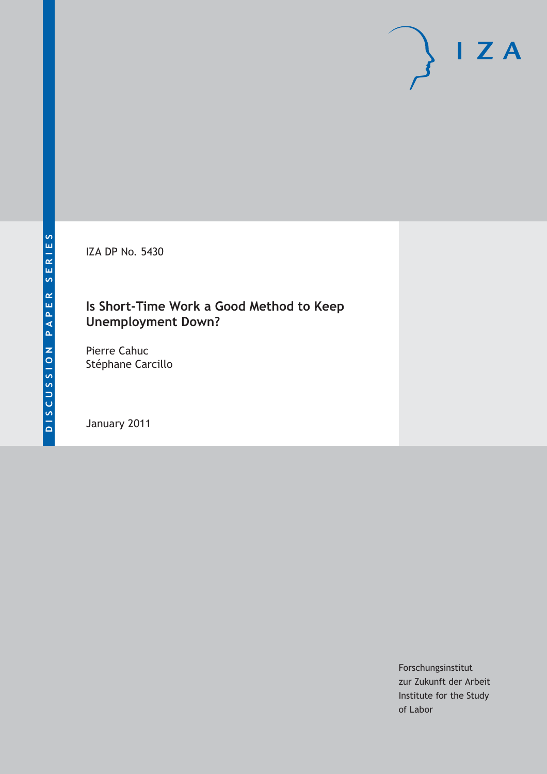IZA DP No. 5430

# **Is Short-Time Work a Good Method to Keep Unemployment Down?**

Pierre Cahuc Stéphane Carcillo

January 2011

Forschungsinstitut zur Zukunft der Arbeit Institute for the Study of Labor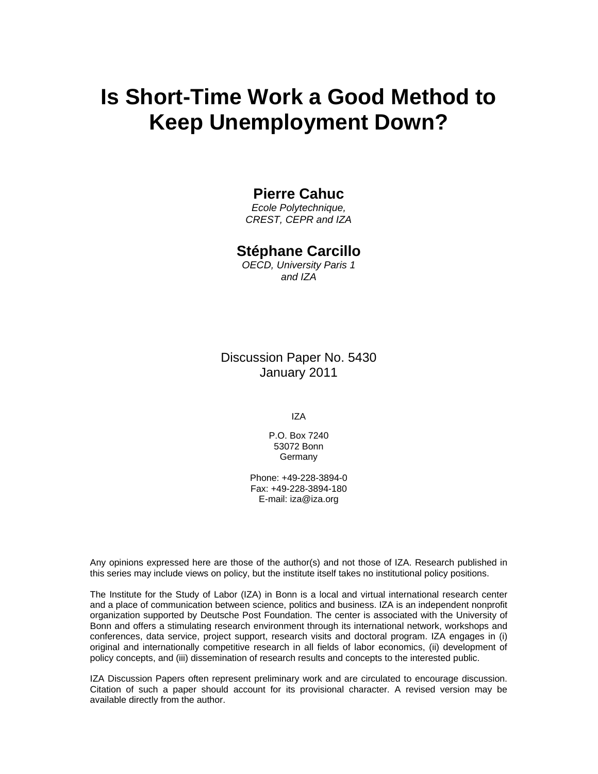# **Is Short-Time Work a Good Method to Keep Unemployment Down?**

### **Pierre Cahuc**

*Ecole Polytechnique, CREST, CEPR and IZA* 

### **Stéphane Carcillo**

*OECD, University Paris 1 and IZA* 

Discussion Paper No. 5430 January 2011

IZA

P.O. Box 7240 53072 Bonn Germany

Phone: +49-228-3894-0 Fax: +49-228-3894-180 E-mail: iza@iza.org

Any opinions expressed here are those of the author(s) and not those of IZA. Research published in this series may include views on policy, but the institute itself takes no institutional policy positions.

The Institute for the Study of Labor (IZA) in Bonn is a local and virtual international research center and a place of communication between science, politics and business. IZA is an independent nonprofit organization supported by Deutsche Post Foundation. The center is associated with the University of Bonn and offers a stimulating research environment through its international network, workshops and conferences, data service, project support, research visits and doctoral program. IZA engages in (i) original and internationally competitive research in all fields of labor economics, (ii) development of policy concepts, and (iii) dissemination of research results and concepts to the interested public.

IZA Discussion Papers often represent preliminary work and are circulated to encourage discussion. Citation of such a paper should account for its provisional character. A revised version may be available directly from the author.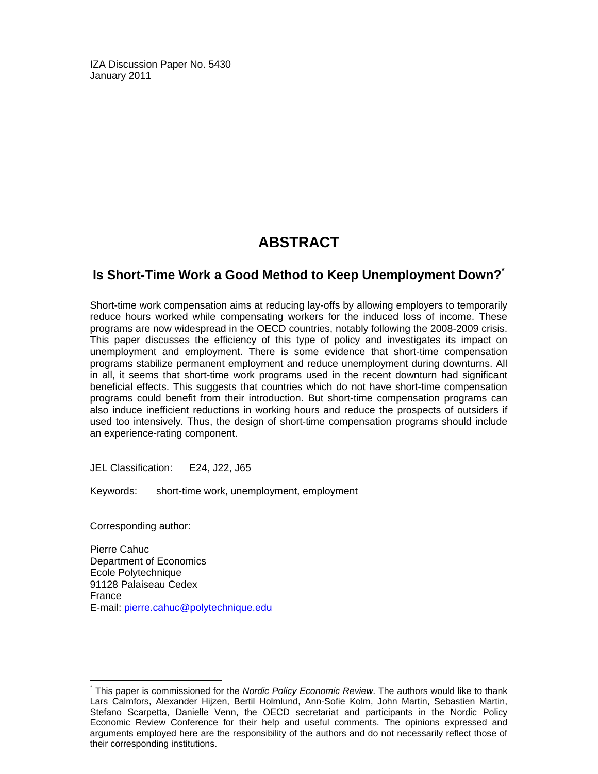IZA Discussion Paper No. 5430 January 2011

# **ABSTRACT**

### **Is Short-Time Work a Good Method to Keep Unemployment Down?\***

Short-time work compensation aims at reducing lay-offs by allowing employers to temporarily reduce hours worked while compensating workers for the induced loss of income. These programs are now widespread in the OECD countries, notably following the 2008-2009 crisis. This paper discusses the efficiency of this type of policy and investigates its impact on unemployment and employment. There is some evidence that short-time compensation programs stabilize permanent employment and reduce unemployment during downturns. All in all, it seems that short-time work programs used in the recent downturn had significant beneficial effects. This suggests that countries which do not have short-time compensation programs could benefit from their introduction. But short-time compensation programs can also induce inefficient reductions in working hours and reduce the prospects of outsiders if used too intensively. Thus, the design of short-time compensation programs should include an experience-rating component.

JEL Classification: E24, J22, J65

Keywords: short-time work, unemployment, employment

Corresponding author:

-

Pierre Cahuc Department of Economics Ecole Polytechnique 91128 Palaiseau Cedex France E-mail: pierre.cahuc@polytechnique.edu

<sup>\*</sup> This paper is commissioned for the *Nordic Policy Economic Review*. The authors would like to thank Lars Calmfors, Alexander Hijzen, Bertil Holmlund, Ann-Sofie Kolm, John Martin, Sebastien Martin, Stefano Scarpetta, Danielle Venn, the OECD secretariat and participants in the Nordic Policy Economic Review Conference for their help and useful comments. The opinions expressed and arguments employed here are the responsibility of the authors and do not necessarily reflect those of their corresponding institutions.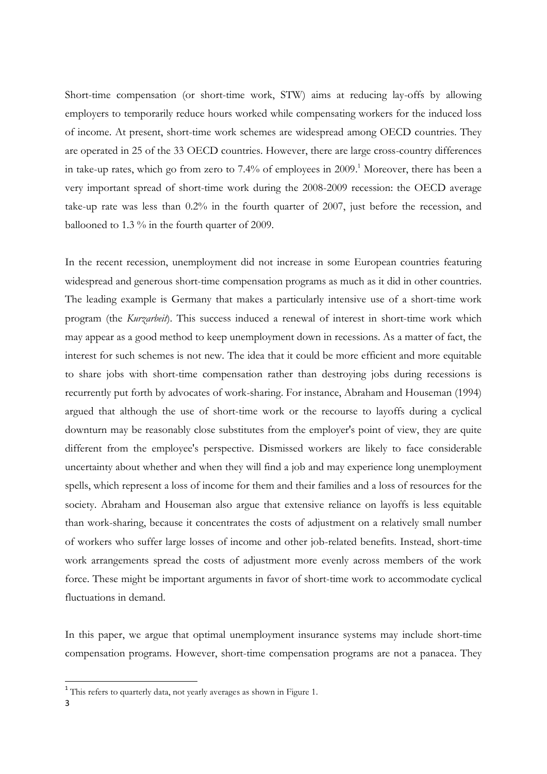Short-time compensation (or short-time work, STW) aims at reducing lay-offs by allowing employers to temporarily reduce hours worked while compensating workers for the induced loss of income. At present, short-time work schemes are widespread among OECD countries. They are operated in 25 of the 33 OECD countries. However, there are large cross-country differences in take-up rates, which go from zero to 7.4% of employees in 2009. <sup>1</sup> Moreover, there has been a very important spread of short-time work during the 2008-2009 recession: the OECD average take-up rate was less than 0.2% in the fourth quarter of 2007, just before the recession, and ballooned to 1.3 % in the fourth quarter of 2009.

In the recent recession, unemployment did not increase in some European countries featuring widespread and generous short-time compensation programs as much as it did in other countries. The leading example is Germany that makes a particularly intensive use of a short-time work program (the *Kurzarbeit*). This success induced a renewal of interest in short-time work which may appear as a good method to keep unemployment down in recessions. As a matter of fact, the interest for such schemes is not new. The idea that it could be more efficient and more equitable to share jobs with short-time compensation rather than destroying jobs during recessions is recurrently put forth by advocates of work-sharing. For instance, Abraham and Houseman (1994) argued that although the use of short-time work or the recourse to layoffs during a cyclical downturn may be reasonably close substitutes from the employer's point of view, they are quite different from the employee's perspective. Dismissed workers are likely to face considerable uncertainty about whether and when they will find a job and may experience long unemployment spells, which represent a loss of income for them and their families and a loss of resources for the society. Abraham and Houseman also argue that extensive reliance on layoffs is less equitable than work-sharing, because it concentrates the costs of adjustment on a relatively small number of workers who suffer large losses of income and other job-related benefits. Instead, short-time work arrangements spread the costs of adjustment more evenly across members of the work force. These might be important arguments in favor of short-time work to accommodate cyclical fluctuations in demand.

In this paper, we argue that optimal unemployment insurance systems may include short-time compensation programs. However, short-time compensation programs are not a panacea. They

 1 This refers to quarterly data, not yearly averages as shown in Figure 1.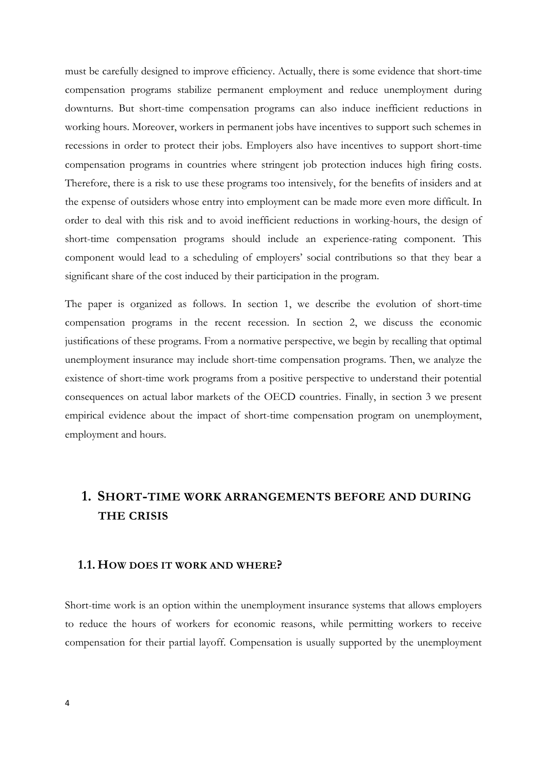must be carefully designed to improve efficiency. Actually, there is some evidence that short-time compensation programs stabilize permanent employment and reduce unemployment during downturns. But short-time compensation programs can also induce inefficient reductions in working hours. Moreover, workers in permanent jobs have incentives to support such schemes in recessions in order to protect their jobs. Employers also have incentives to support short-time compensation programs in countries where stringent job protection induces high firing costs. Therefore, there is a risk to use these programs too intensively, for the benefits of insiders and at the expense of outsiders whose entry into employment can be made more even more difficult. In order to deal with this risk and to avoid inefficient reductions in working-hours, the design of short-time compensation programs should include an experience-rating component. This component would lead to a scheduling of employers' social contributions so that they bear a significant share of the cost induced by their participation in the program.

The paper is organized as follows. In section 1, we describe the evolution of short-time compensation programs in the recent recession. In section 2, we discuss the economic justifications of these programs. From a normative perspective, we begin by recalling that optimal unemployment insurance may include short-time compensation programs. Then, we analyze the existence of short-time work programs from a positive perspective to understand their potential consequences on actual labor markets of the OECD countries. Finally, in section 3 we present empirical evidence about the impact of short-time compensation program on unemployment, employment and hours.

## **1. SHORT-TIME WORK ARRANGEMENTS BEFORE AND DURING THE CRISIS**

#### **1.1. HOW DOES IT WORK AND WHERE?**

Short-time work is an option within the unemployment insurance systems that allows employers to reduce the hours of workers for economic reasons, while permitting workers to receive compensation for their partial layoff. Compensation is usually supported by the unemployment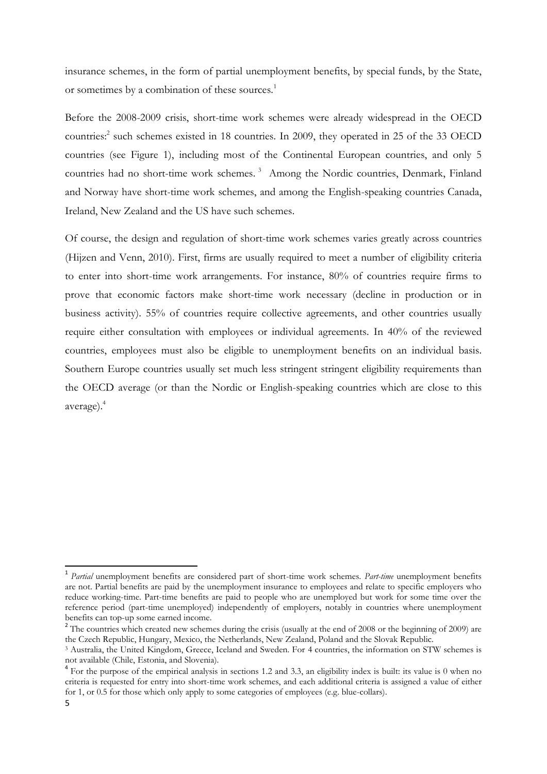insurance schemes, in the form of partial unemployment benefits, by special funds, by the State, or sometimes by a combination of these sources.<sup>1</sup>

Before the 2008-2009 crisis, short-time work schemes were already widespread in the OECD countries: 2 such schemes existed in 18 countries. In 2009, they operated in 25 of the 33 OECD countries (see Figure 1), including most of the Continental European countries, and only 5 countries had no short-time work schemes. <sup>3</sup> Among the Nordic countries, Denmark, Finland and Norway have short-time work schemes, and among the English-speaking countries Canada, Ireland, New Zealand and the US have such schemes.

Of course, the design and regulation of short-time work schemes varies greatly across countries (Hijzen and Venn, 2010). First, firms are usually required to meet a number of eligibility criteria to enter into short-time work arrangements. For instance, 80% of countries require firms to prove that economic factors make short-time work necessary (decline in production or in business activity). 55% of countries require collective agreements, and other countries usually require either consultation with employees or individual agreements. In 40% of the reviewed countries, employees must also be eligible to unemployment benefits on an individual basis. Southern Europe countries usually set much less stringent stringent eligibility requirements than the OECD average (or than the Nordic or English-speaking countries which are close to this average).<sup>4</sup>

<sup>1</sup> *Partial* unemployment benefits are considered part of short-time work schemes. *Part-time* unemployment benefits are not. Partial benefits are paid by the unemployment insurance to employees and relate to specific employers who reduce working-time. Part-time benefits are paid to people who are unemployed but work for some time over the reference period (part-time unemployed) independently of employers, notably in countries where unemployment benefits can top-up some earned income.

<sup>&</sup>lt;sup>2</sup> The countries which created new schemes during the crisis (usually at the end of 2008 or the beginning of 2009) are the Czech Republic, Hungary, Mexico, the Netherlands, New Zealand, Poland and the Slovak Republic.

<sup>3</sup> Australia, the United Kingdom, Greece, Iceland and Sweden. For 4 countries, the information on STW schemes is not available (Chile, Estonia, and Slovenia).

<sup>&</sup>lt;sup>4</sup> For the purpose of the empirical analysis in sections 1.2 and 3.3, an eligibility index is built: its value is 0 when no criteria is requested for entry into short-time work schemes, and each additional criteria is assigned a value of either for 1, or 0.5 for those which only apply to some categories of employees (e.g. blue-collars).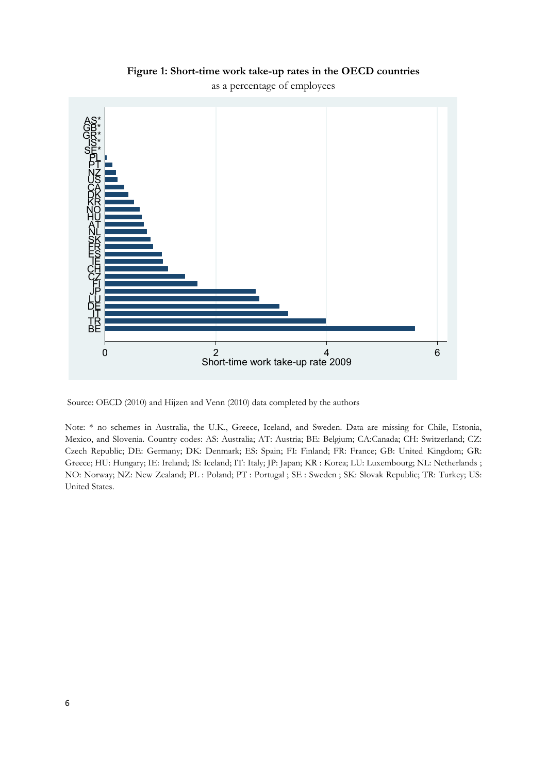

**Figure 1: Short-time work take-up rates in the OECD countries**

Source: OECD (2010) and Hijzen and Venn (2010) data completed by the authors

Note: \* no schemes in Australia, the U.K., Greece, Iceland, and Sweden. Data are missing for Chile, Estonia, Mexico, and Slovenia. Country codes: AS: Australia; AT: Austria; BE: Belgium; CA:Canada; CH: Switzerland; CZ: Czech Republic; DE: Germany; DK: Denmark; ES: Spain; FI: Finland; FR: France; GB: United Kingdom; GR: Greece; HU: Hungary; IE: Ireland; IS: Iceland; IT: Italy; JP: Japan; KR : Korea; LU: Luxembourg; NL: Netherlands ; NO: Norway; NZ: New Zealand; PL : Poland; PT : Portugal ; SE : Sweden ; SK: Slovak Republic; TR: Turkey; US: United States.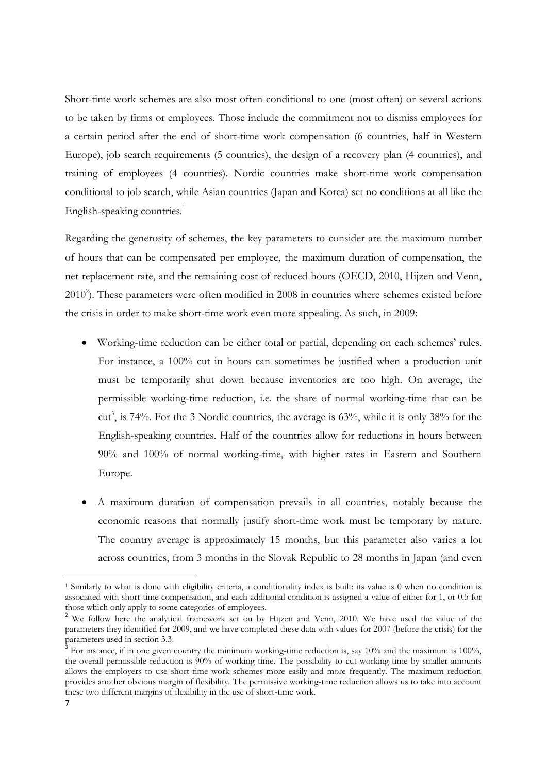Short-time work schemes are also most often conditional to one (most often) or several actions to be taken by firms or employees. Those include the commitment not to dismiss employees for a certain period after the end of short-time work compensation (6 countries, half in Western Europe), job search requirements (5 countries), the design of a recovery plan (4 countries), and training of employees (4 countries). Nordic countries make short-time work compensation conditional to job search, while Asian countries (Japan and Korea) set no conditions at all like the English-speaking countries.<sup>1</sup>

Regarding the generosity of schemes, the key parameters to consider are the maximum number of hours that can be compensated per employee, the maximum duration of compensation, the net replacement rate, and the remaining cost of reduced hours (OECD, 2010, Hijzen and Venn, 2010<sup>2</sup>). These parameters were often modified in 2008 in countries where schemes existed before the crisis in order to make short-time work even more appealing. As such, in 2009:

- Working-time reduction can be either total or partial, depending on each schemes' rules. For instance, a 100% cut in hours can sometimes be justified when a production unit must be temporarily shut down because inventories are too high. On average, the permissible working-time reduction, i.e. the share of normal working-time that can be cut<sup>3</sup>, is 74%. For the 3 Nordic countries, the average is 63%, while it is only 38% for the English-speaking countries. Half of the countries allow for reductions in hours between 90% and 100% of normal working-time, with higher rates in Eastern and Southern Europe.
- A maximum duration of compensation prevails in all countries, notably because the economic reasons that normally justify short-time work must be temporary by nature. The country average is approximately 15 months, but this parameter also varies a lot across countries, from 3 months in the Slovak Republic to 28 months in Japan (and even

<sup>1</sup> Similarly to what is done with eligibility criteria, a conditionality index is built: its value is 0 when no condition is associated with short-time compensation, and each additional condition is assigned a value of either for 1, or 0.5 for those which only apply to some categories of employees.

<sup>&</sup>lt;sup>2</sup> We follow here the analytical framework set ou by Hijzen and Venn, 2010. We have used the value of the parameters they identified for 2009, and we have completed these data with values for 2007 (before the crisis) for the parameters used in section 3.3.

For instance, if in one given country the minimum working-time reduction is, say 10% and the maximum is 100%, the overall permissible reduction is 90% of working time. The possibility to cut working-time by smaller amounts allows the employers to use short-time work schemes more easily and more frequently. The maximum reduction provides another obvious margin of flexibility. The permissive working-time reduction allows us to take into account these two different margins of flexibility in the use of short-time work.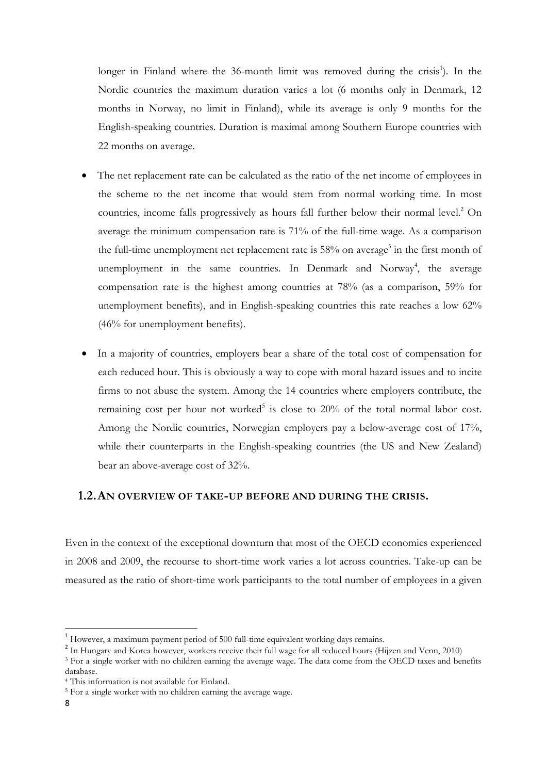longer in Finland where the 36-month limit was removed during the crisis<sup>1</sup>). In the Nordic countries the maximum duration varies a lot (6 months only in Denmark, 12 months in Norway, no limit in Finland), while its average is only 9 months for the English-speaking countries. Duration is maximal among Southern Europe countries with 22 months on average.

- The net replacement rate can be calculated as the ratio of the net income of employees in the scheme to the net income that would stem from normal working time. In most countries, income falls progressively as hours fall further below their normal level.<sup>2</sup> On average the minimum compensation rate is 71% of the full-time wage. As a comparison the full-time unemployment net replacement rate is 58% on average<sup>3</sup> in the first month of unemployment in the same countries. In Denmark and Norway<sup>4</sup>, the average compensation rate is the highest among countries at 78% (as a comparison, 59% for unemployment benefits), and in English-speaking countries this rate reaches a low 62% (46% for unemployment benefits).
- In a majority of countries, employers bear a share of the total cost of compensation for each reduced hour. This is obviously a way to cope with moral hazard issues and to incite firms to not abuse the system. Among the 14 countries where employers contribute, the remaining cost per hour not worked<sup>5</sup> is close to 20% of the total normal labor cost. Among the Nordic countries, Norwegian employers pay a below-average cost of 17%, while their counterparts in the English-speaking countries (the US and New Zealand) bear an above-average cost of 32%.

#### **1.2.AN OVERVIEW OF TAKE-UP BEFORE AND DURING THE CRISIS.**

Even in the context of the exceptional downturn that most of the OECD economies experienced in 2008 and 2009, the recourse to short-time work varies a lot across countries. Take-up can be measured as the ratio of short-time work participants to the total number of employees in a given

<sup>1</sup> However, a maximum payment period of 500 full-time equivalent working days remains.

<sup>&</sup>lt;sup>2</sup> In Hungary and Korea however, workers receive their full wage for all reduced hours (Hijzen and Venn, 2010)

<sup>&</sup>lt;sup>3</sup> For a single worker with no children earning the average wage. The data come from the OECD taxes and benefits database.

<sup>4</sup> This information is not available for Finland.

<sup>5</sup> For a single worker with no children earning the average wage.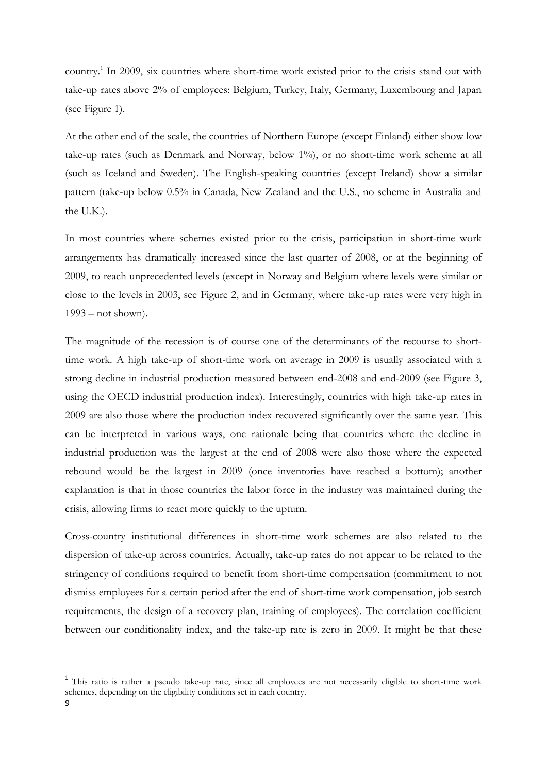country. 1 In 2009, six countries where short-time work existed prior to the crisis stand out with take-up rates above 2% of employees: Belgium, Turkey, Italy, Germany, Luxembourg and Japan (see Figure 1).

At the other end of the scale, the countries of Northern Europe (except Finland) either show low take-up rates (such as Denmark and Norway, below 1%), or no short-time work scheme at all (such as Iceland and Sweden). The English-speaking countries (except Ireland) show a similar pattern (take-up below 0.5% in Canada, New Zealand and the U.S., no scheme in Australia and the U.K.).

In most countries where schemes existed prior to the crisis, participation in short-time work arrangements has dramatically increased since the last quarter of 2008, or at the beginning of 2009, to reach unprecedented levels (except in Norway and Belgium where levels were similar or close to the levels in 2003, see Figure 2, and in Germany, where take-up rates were very high in 1993 – not shown).

The magnitude of the recession is of course one of the determinants of the recourse to shorttime work. A high take-up of short-time work on average in 2009 is usually associated with a strong decline in industrial production measured between end-2008 and end-2009 (see Figure 3, using the OECD industrial production index). Interestingly, countries with high take-up rates in 2009 are also those where the production index recovered significantly over the same year. This can be interpreted in various ways, one rationale being that countries where the decline in industrial production was the largest at the end of 2008 were also those where the expected rebound would be the largest in 2009 (once inventories have reached a bottom); another explanation is that in those countries the labor force in the industry was maintained during the crisis, allowing firms to react more quickly to the upturn.

Cross-country institutional differences in short-time work schemes are also related to the dispersion of take-up across countries. Actually, take-up rates do not appear to be related to the stringency of conditions required to benefit from short-time compensation (commitment to not dismiss employees for a certain period after the end of short-time work compensation, job search requirements, the design of a recovery plan, training of employees). The correlation coefficient between our conditionality index, and the take-up rate is zero in 2009. It might be that these

<sup>&</sup>lt;sup>1</sup> This ratio is rather a pseudo take-up rate, since all employees are not necessarily eligible to short-time work schemes, depending on the eligibility conditions set in each country.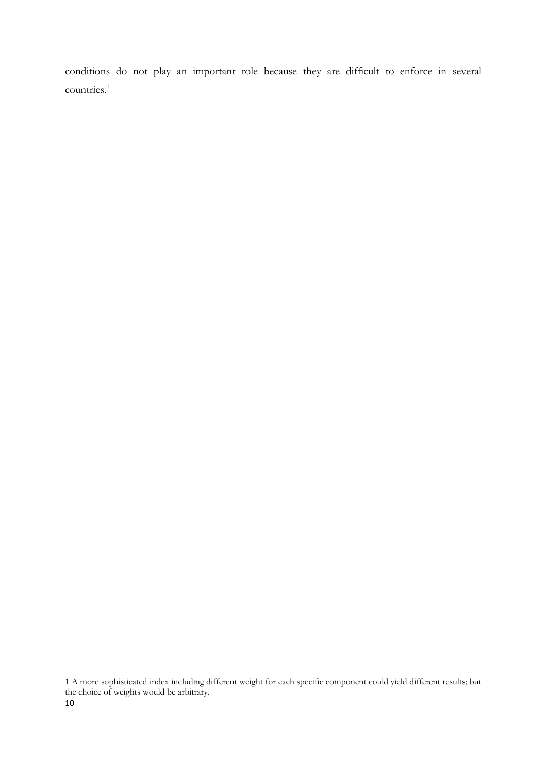conditions do not play an important role because they are difficult to enforce in several countries. 1

<sup>1</sup> A more sophisticated index including different weight for each specific component could yield different results; but the choice of weights would be arbitrary.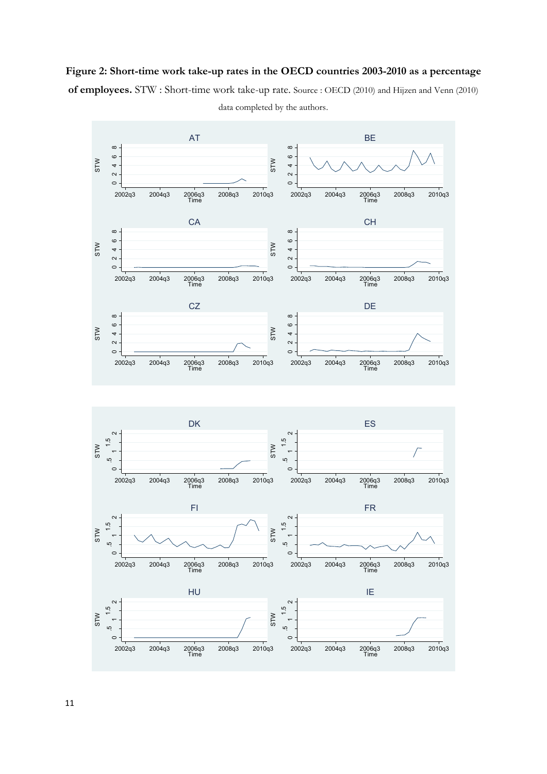### **Figure 2: Short-time work take-up rates in the OECD countries 2003-2010 as a percentage**

**of employees.** STW : Short-time work take-up rate. Source : OECD (2010) and Hijzen and Venn (2010)



data completed by the authors.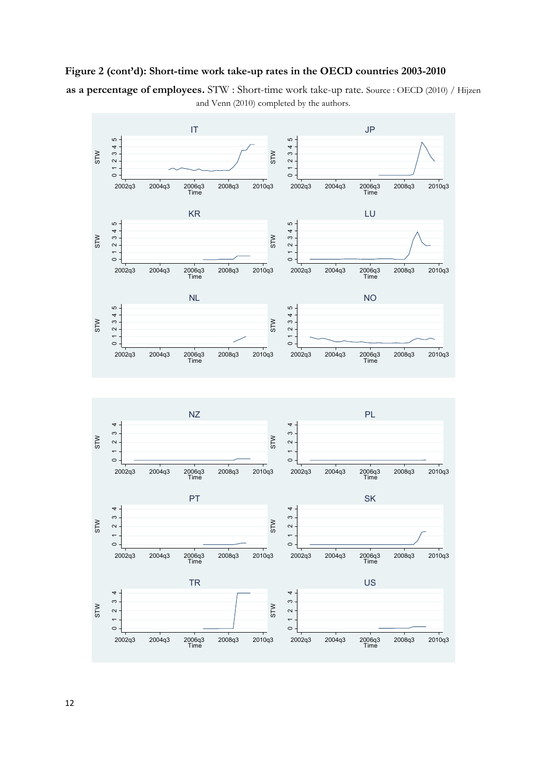### **Figure 2 (cont'd): Short-time work take-up rates in the OECD countries 2003-2010**

**as a percentage of employees.** STW : Short-time work take-up rate. Source : OECD (2010) / Hijzen and Venn (2010) completed by the authors.

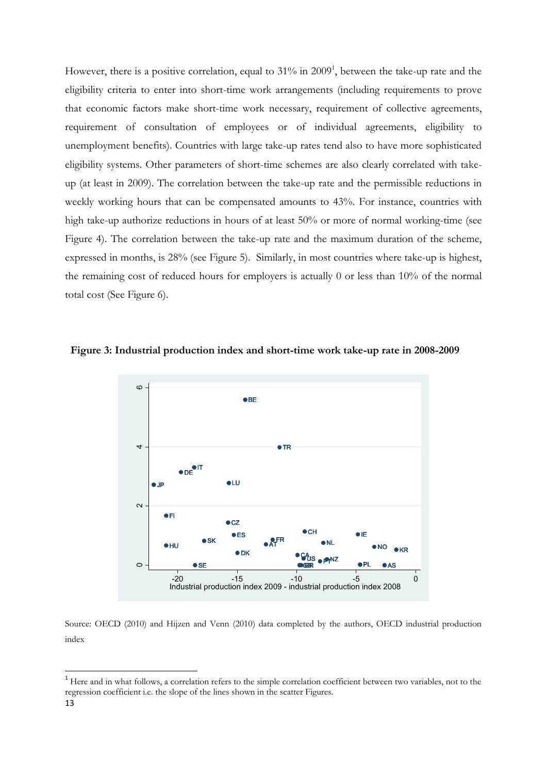However, there is a positive correlation, equal to 31% in 2009<sup>1</sup>, between the take-up rate and the eligibility criteria to enter into short-time work arrangements (including requirements to prove that economic factors make short-time work necessary, requirement of collective agreements, requirement of consultation of employees or of individual agreements, eligibility to unemployment benefits). Countries with large take-up rates tend also to have more sophisticated eligibility systems. Other parameters of short-time schemes are also clearly correlated with takeup (at least in 2009). The correlation between the take-up rate and the permissible reductions in weekly working hours that can be compensated amounts to 43%. For instance, countries with high take-up authorize reductions in hours of at least 50% or more of normal working-time (see Figure 4). The correlation between the take-up rate and the maximum duration of the scheme, expressed in months, is 28% (see Figure 5). Similarly, in most countries where take-up is highest, the remaining cost of reduced hours for employers is actually 0 or less than 10% of the normal total cost (See Figure 6).



#### **Figure 3: Industrial production index and short-time work take-up rate in 2008-2009**

Source: OECD (2010) and Hijzen and Venn (2010) data completed by the authors, OECD industrial production index

<sup>&</sup>lt;sup>1</sup> Here and in what follows, a correlation refers to the simple correlation coefficient between two variables, not to the regression coefficient i.e. the slope of the lines shown in the scatter Figures.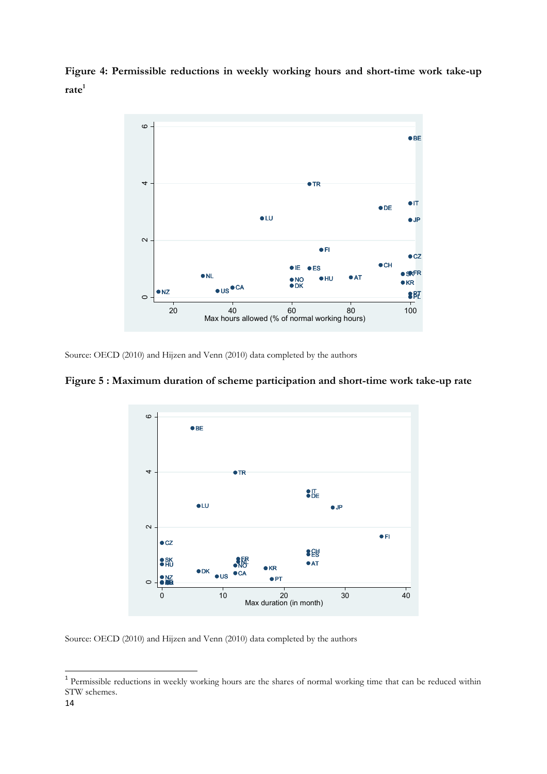**Figure 4: Permissible reductions in weekly working hours and short-time work take-up rate<sup>1</sup>**



Source: OECD (2010) and Hijzen and Venn (2010) data completed by the authors

### **Figure 5 : Maximum duration of scheme participation and short-time work take-up rate**



Source: OECD (2010) and Hijzen and Venn (2010) data completed by the authors

<sup>&</sup>lt;sup>1</sup> Permissible reductions in weekly working hours are the shares of normal working time that can be reduced within STW schemes.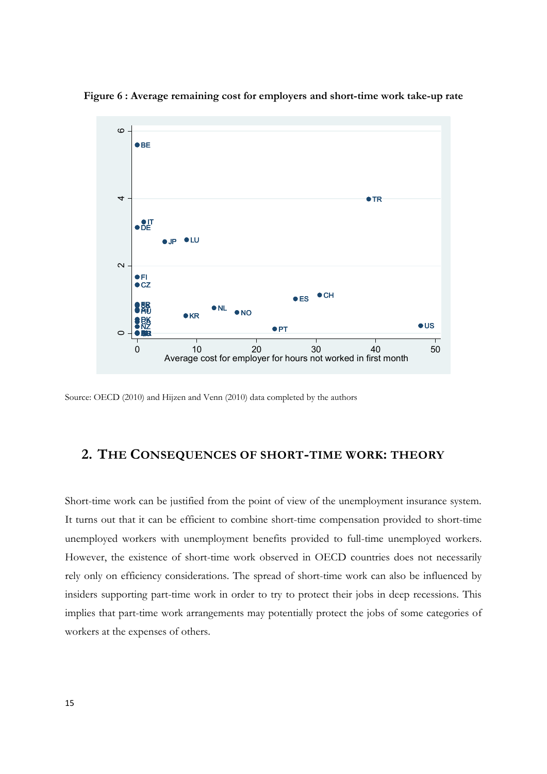

**Figure 6 : Average remaining cost for employers and short-time work take-up rate** 

Source: OECD (2010) and Hijzen and Venn (2010) data completed by the authors

### **2. THE CONSEQUENCES OF SHORT-TIME WORK: THEORY**

Short-time work can be justified from the point of view of the unemployment insurance system. It turns out that it can be efficient to combine short-time compensation provided to short-time unemployed workers with unemployment benefits provided to full-time unemployed workers. However, the existence of short-time work observed in OECD countries does not necessarily rely only on efficiency considerations. The spread of short-time work can also be influenced by insiders supporting part-time work in order to try to protect their jobs in deep recessions. This implies that part-time work arrangements may potentially protect the jobs of some categories of workers at the expenses of others.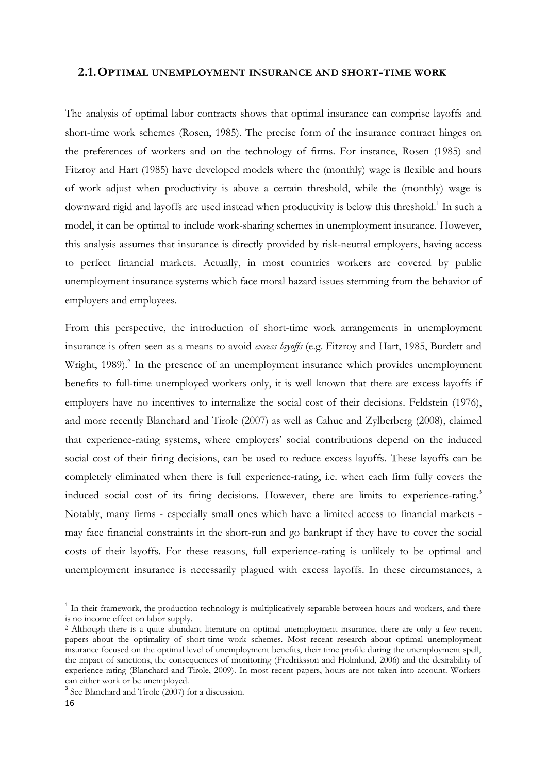#### **2.1.OPTIMAL UNEMPLOYMENT INSURANCE AND SHORT-TIME WORK**

The analysis of optimal labor contracts shows that optimal insurance can comprise layoffs and short-time work schemes (Rosen, 1985). The precise form of the insurance contract hinges on the preferences of workers and on the technology of firms. For instance, Rosen (1985) and Fitzroy and Hart (1985) have developed models where the (monthly) wage is flexible and hours of work adjust when productivity is above a certain threshold, while the (monthly) wage is downward rigid and layoffs are used instead when productivity is below this threshold.<sup>1</sup> In such a model, it can be optimal to include work-sharing schemes in unemployment insurance. However, this analysis assumes that insurance is directly provided by risk-neutral employers, having access to perfect financial markets. Actually, in most countries workers are covered by public unemployment insurance systems which face moral hazard issues stemming from the behavior of employers and employees.

From this perspective, the introduction of short-time work arrangements in unemployment insurance is often seen as a means to avoid *excess layoffs* (e.g. Fitzroy and Hart, 1985, Burdett and Wright, 1989).<sup>2</sup> In the presence of an unemployment insurance which provides unemployment benefits to full-time unemployed workers only, it is well known that there are excess layoffs if employers have no incentives to internalize the social cost of their decisions. Feldstein (1976), and more recently Blanchard and Tirole (2007) as well as Cahuc and Zylberberg (2008), claimed that experience-rating systems, where employers' social contributions depend on the induced social cost of their firing decisions, can be used to reduce excess layoffs. These layoffs can be completely eliminated when there is full experience-rating, i.e. when each firm fully covers the induced social cost of its firing decisions. However, there are limits to experience-rating.<sup>3</sup> Notably, many firms - especially small ones which have a limited access to financial markets may face financial constraints in the short-run and go bankrupt if they have to cover the social costs of their layoffs. For these reasons, full experience-rating is unlikely to be optimal and unemployment insurance is necessarily plagued with excess layoffs. In these circumstances, a

<sup>&</sup>lt;sup>1</sup> In their framework, the production technology is multiplicatively separable between hours and workers, and there is no income effect on labor supply.

<sup>2</sup> Although there is a quite abundant literature on optimal unemployment insurance, there are only a few recent papers about the optimality of short-time work schemes. Most recent research about optimal unemployment insurance focused on the optimal level of unemployment benefits, their time profile during the unemployment spell, the impact of sanctions, the consequences of monitoring (Fredriksson and Holmlund, 2006) and the desirability of experience-rating (Blanchard and Tirole, 2009). In most recent papers, hours are not taken into account. Workers can either work or be unemployed.

<sup>&</sup>lt;sup>3</sup> See Blanchard and Tirole (2007) for a discussion.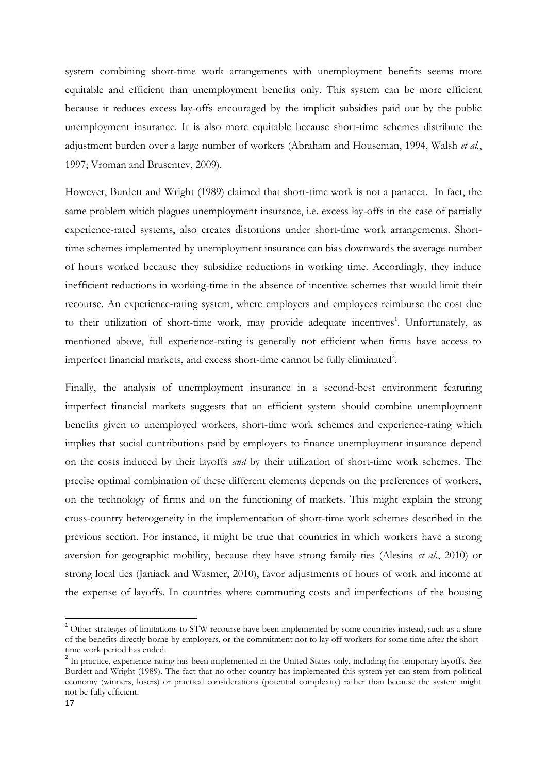system combining short-time work arrangements with unemployment benefits seems more equitable and efficient than unemployment benefits only. This system can be more efficient because it reduces excess lay-offs encouraged by the implicit subsidies paid out by the public unemployment insurance. It is also more equitable because short-time schemes distribute the adjustment burden over a large number of workers (Abraham and Houseman, 1994, Walsh *et al.*, 1997; Vroman and Brusentev, 2009).

However, Burdett and Wright (1989) claimed that short-time work is not a panacea. In fact, the same problem which plagues unemployment insurance, i.e. excess lay-offs in the case of partially experience-rated systems, also creates distortions under short-time work arrangements. Shorttime schemes implemented by unemployment insurance can bias downwards the average number of hours worked because they subsidize reductions in working time. Accordingly, they induce inefficient reductions in working-time in the absence of incentive schemes that would limit their recourse. An experience-rating system, where employers and employees reimburse the cost due to their utilization of short-time work, may provide adequate incentives<sup>1</sup>. Unfortunately, as mentioned above, full experience-rating is generally not efficient when firms have access to imperfect financial markets, and excess short-time cannot be fully eliminated<sup>2</sup>.

Finally, the analysis of unemployment insurance in a second-best environment featuring imperfect financial markets suggests that an efficient system should combine unemployment benefits given to unemployed workers, short-time work schemes and experience-rating which implies that social contributions paid by employers to finance unemployment insurance depend on the costs induced by their layoffs *and* by their utilization of short-time work schemes. The precise optimal combination of these different elements depends on the preferences of workers, on the technology of firms and on the functioning of markets. This might explain the strong cross-country heterogeneity in the implementation of short-time work schemes described in the previous section. For instance, it might be true that countries in which workers have a strong aversion for geographic mobility, because they have strong family ties (Alesina *et al.*, 2010) or strong local ties (Janiack and Wasmer, 2010), favor adjustments of hours of work and income at the expense of layoffs. In countries where commuting costs and imperfections of the housing

 $1$  Other strategies of limitations to STW recourse have been implemented by some countries instead, such as a share of the benefits directly borne by employers, or the commitment not to lay off workers for some time after the shorttime work period has ended.

<sup>&</sup>lt;sup>2</sup> In practice, experience-rating has been implemented in the United States only, including for temporary layoffs. See Burdett and Wright (1989). The fact that no other country has implemented this system yet can stem from political economy (winners, losers) or practical considerations (potential complexity) rather than because the system might not be fully efficient.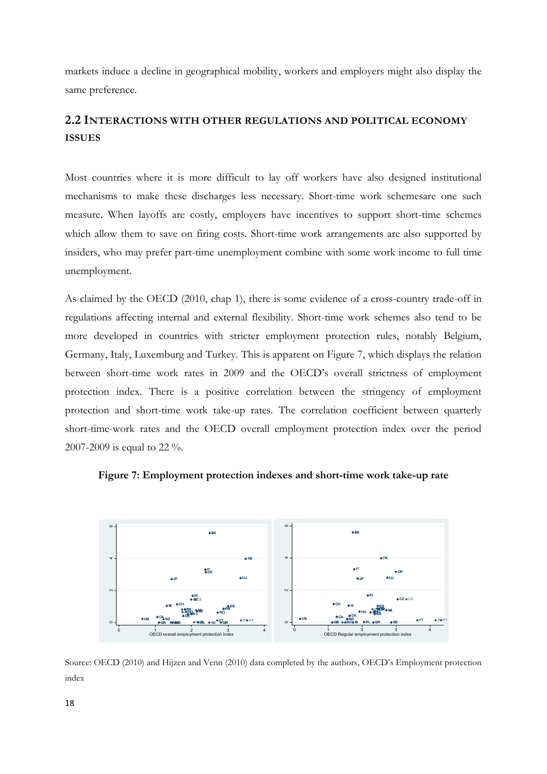markets induce a decline in geographical mobility, workers and employers might also display the same preference.

### **2.2 INTERACTIONS WITH OTHER REGULATIONS AND POLITICAL ECONOMY ISSUES**

Most countries where it is more difficult to lay off workers have also designed institutional mechanisms to make these discharges less necessary. Short-time work schemesare one such measure. When layoffs are costly, employers have incentives to support short-time schemes which allow them to save on firing costs. Short-time work arrangements are also supported by insiders, who may prefer part-time unemployment combine with some work income to full time unemployment.

As claimed by the OECD (2010, chap 1), there is some evidence of a cross-country trade-off in regulations affecting internal and external flexibility. Short-time work schemes also tend to be more developed in countries with stricter employment protection rules, notably Belgium, Germany, Italy, Luxemburg and Turkey. This is apparent on Figure 7, which displays the relation between short-time work rates in 2009 and the OECD's overall strictness of employment protection index. There is a positive correlation between the stringency of employment protection and short-time work take-up rates. The correlation coefficient between quarterly short-time-work rates and the OECD overall employment protection index over the period 2007-2009 is equal to 22 %.





Source: OECD (2010) and Hijzen and Venn (2010) data completed by the authors, OECD's Employment protection index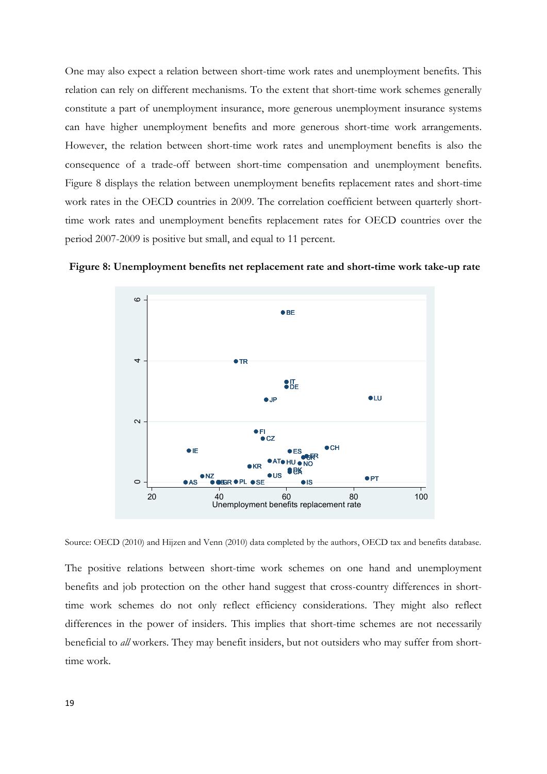One may also expect a relation between short-time work rates and unemployment benefits. This relation can rely on different mechanisms. To the extent that short-time work schemes generally constitute a part of unemployment insurance, more generous unemployment insurance systems can have higher unemployment benefits and more generous short-time work arrangements. However, the relation between short-time work rates and unemployment benefits is also the consequence of a trade-off between short-time compensation and unemployment benefits. Figure 8 displays the relation between unemployment benefits replacement rates and short-time work rates in the OECD countries in 2009. The correlation coefficient between quarterly shorttime work rates and unemployment benefits replacement rates for OECD countries over the period 2007-2009 is positive but small, and equal to 11 percent.



**Figure 8: Unemployment benefits net replacement rate and short-time work take-up rate** 

Source: OECD (2010) and Hijzen and Venn (2010) data completed by the authors, OECD tax and benefits database.

The positive relations between short-time work schemes on one hand and unemployment benefits and job protection on the other hand suggest that cross-country differences in shorttime work schemes do not only reflect efficiency considerations. They might also reflect differences in the power of insiders. This implies that short-time schemes are not necessarily beneficial to *all* workers. They may benefit insiders, but not outsiders who may suffer from shorttime work.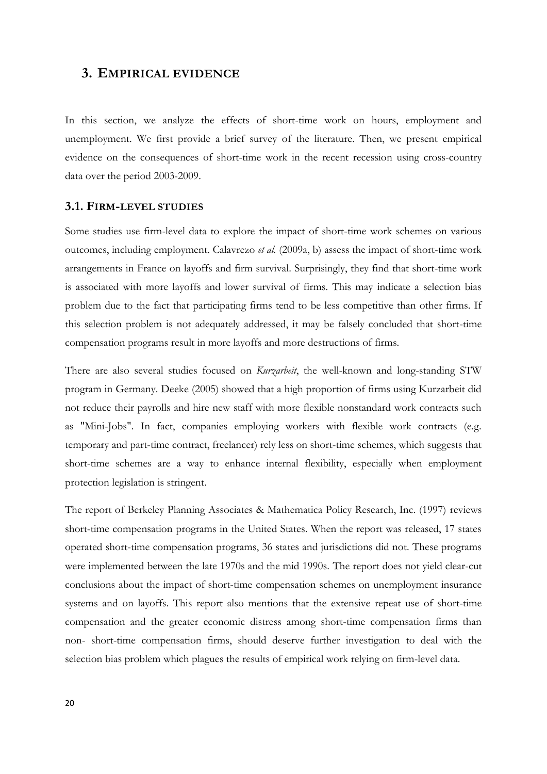#### **3. EMPIRICAL EVIDENCE**

In this section, we analyze the effects of short-time work on hours, employment and unemployment. We first provide a brief survey of the literature. Then, we present empirical evidence on the consequences of short-time work in the recent recession using cross-country data over the period 2003-2009.

#### **3.1. FIRM-LEVEL STUDIES**

Some studies use firm-level data to explore the impact of short-time work schemes on various outcomes, including employment. Calavrezo *et al.* (2009a, b) assess the impact of short-time work arrangements in France on layoffs and firm survival. Surprisingly, they find that short-time work is associated with more layoffs and lower survival of firms. This may indicate a selection bias problem due to the fact that participating firms tend to be less competitive than other firms. If this selection problem is not adequately addressed, it may be falsely concluded that short-time compensation programs result in more layoffs and more destructions of firms.

There are also several studies focused on *Kurzarbeit*, the well-known and long-standing STW program in Germany. Deeke (2005) showed that a high proportion of firms using Kurzarbeit did not reduce their payrolls and hire new staff with more flexible nonstandard work contracts such as "Mini-Jobs". In fact, companies employing workers with flexible work contracts (e.g. temporary and part-time contract, freelancer) rely less on short-time schemes, which suggests that short-time schemes are a way to enhance internal flexibility, especially when employment protection legislation is stringent.

The report of Berkeley Planning Associates & Mathematica Policy Research, Inc. (1997) reviews short-time compensation programs in the United States. When the report was released, 17 states operated short-time compensation programs, 36 states and jurisdictions did not. These programs were implemented between the late 1970s and the mid 1990s. The report does not yield clear-cut conclusions about the impact of short-time compensation schemes on unemployment insurance systems and on layoffs. This report also mentions that the extensive repeat use of short-time compensation and the greater economic distress among short-time compensation firms than non- short-time compensation firms, should deserve further investigation to deal with the selection bias problem which plagues the results of empirical work relying on firm-level data.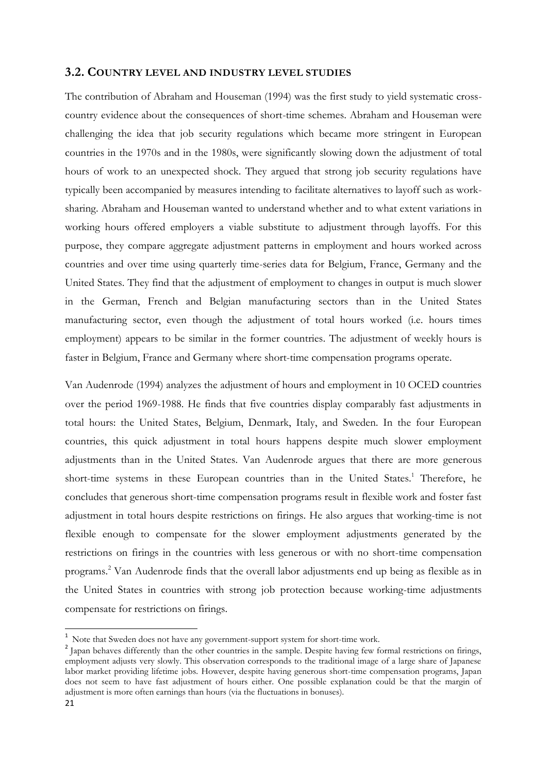#### **3.2. COUNTRY LEVEL AND INDUSTRY LEVEL STUDIES**

The contribution of Abraham and Houseman (1994) was the first study to yield systematic crosscountry evidence about the consequences of short-time schemes. Abraham and Houseman were challenging the idea that job security regulations which became more stringent in European countries in the 1970s and in the 1980s, were significantly slowing down the adjustment of total hours of work to an unexpected shock. They argued that strong job security regulations have typically been accompanied by measures intending to facilitate alternatives to layoff such as worksharing. Abraham and Houseman wanted to understand whether and to what extent variations in working hours offered employers a viable substitute to adjustment through layoffs. For this purpose, they compare aggregate adjustment patterns in employment and hours worked across countries and over time using quarterly time-series data for Belgium, France, Germany and the United States. They find that the adjustment of employment to changes in output is much slower in the German, French and Belgian manufacturing sectors than in the United States manufacturing sector, even though the adjustment of total hours worked (i.e. hours times employment) appears to be similar in the former countries. The adjustment of weekly hours is faster in Belgium, France and Germany where short-time compensation programs operate.

Van Audenrode (1994) analyzes the adjustment of hours and employment in 10 OCED countries over the period 1969-1988. He finds that five countries display comparably fast adjustments in total hours: the United States, Belgium, Denmark, Italy, and Sweden. In the four European countries, this quick adjustment in total hours happens despite much slower employment adjustments than in the United States. Van Audenrode argues that there are more generous short-time systems in these European countries than in the United States. <sup>1</sup> Therefore, he concludes that generous short-time compensation programs result in flexible work and foster fast adjustment in total hours despite restrictions on firings. He also argues that working-time is not flexible enough to compensate for the slower employment adjustments generated by the restrictions on firings in the countries with less generous or with no short-time compensation programs.<sup>2</sup> Van Audenrode finds that the overall labor adjustments end up being as flexible as in the United States in countries with strong job protection because working-time adjustments compensate for restrictions on firings.

<sup>&</sup>lt;sup>1</sup> Note that Sweden does not have any government-support system for short-time work.

<sup>&</sup>lt;sup>2</sup> Japan behaves differently than the other countries in the sample. Despite having few formal restrictions on firings, employment adjusts very slowly. This observation corresponds to the traditional image of a large share of Japanese labor market providing lifetime jobs. However, despite having generous short-time compensation programs, Japan does not seem to have fast adjustment of hours either. One possible explanation could be that the margin of adjustment is more often earnings than hours (via the fluctuations in bonuses).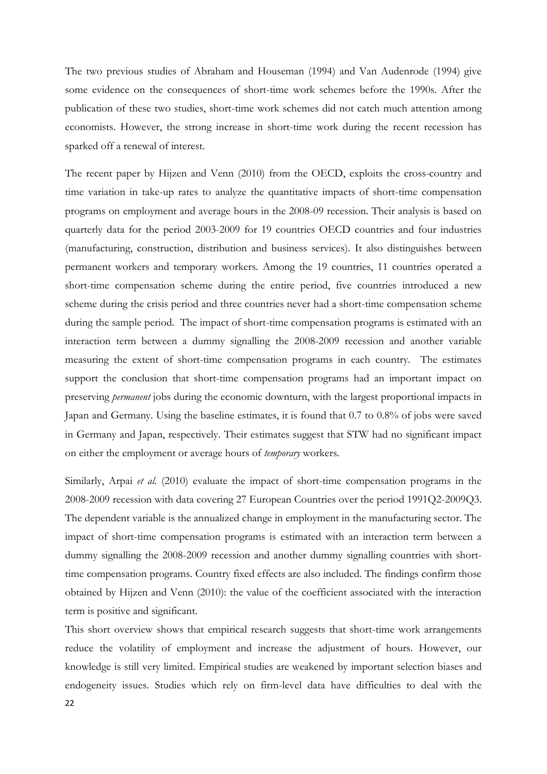The two previous studies of Abraham and Houseman (1994) and Van Audenrode (1994) give some evidence on the consequences of short-time work schemes before the 1990s. After the publication of these two studies, short-time work schemes did not catch much attention among economists. However, the strong increase in short-time work during the recent recession has sparked off a renewal of interest.

The recent paper by Hijzen and Venn (2010) from the OECD, exploits the cross-country and time variation in take-up rates to analyze the quantitative impacts of short-time compensation programs on employment and average hours in the 2008-09 recession. Their analysis is based on quarterly data for the period 2003-2009 for 19 countries OECD countries and four industries (manufacturing, construction, distribution and business services). It also distinguishes between permanent workers and temporary workers. Among the 19 countries, 11 countries operated a short-time compensation scheme during the entire period, five countries introduced a new scheme during the crisis period and three countries never had a short-time compensation scheme during the sample period. The impact of short-time compensation programs is estimated with an interaction term between a dummy signalling the 2008-2009 recession and another variable measuring the extent of short-time compensation programs in each country. The estimates support the conclusion that short-time compensation programs had an important impact on preserving *permanent* jobs during the economic downturn, with the largest proportional impacts in Japan and Germany. Using the baseline estimates, it is found that 0.7 to 0.8% of jobs were saved in Germany and Japan, respectively. Their estimates suggest that STW had no significant impact on either the employment or average hours of *temporary* workers.

Similarly, Arpai *et al.* (2010) evaluate the impact of short-time compensation programs in the 2008-2009 recession with data covering 27 European Countries over the period 1991Q2-2009Q3. The dependent variable is the annualized change in employment in the manufacturing sector. The impact of short-time compensation programs is estimated with an interaction term between a dummy signalling the 2008-2009 recession and another dummy signalling countries with shorttime compensation programs. Country fixed effects are also included. The findings confirm those obtained by Hijzen and Venn (2010): the value of the coefficient associated with the interaction term is positive and significant.

This short overview shows that empirical research suggests that short-time work arrangements reduce the volatility of employment and increase the adjustment of hours. However, our knowledge is still very limited. Empirical studies are weakened by important selection biases and endogeneity issues. Studies which rely on firm-level data have difficulties to deal with the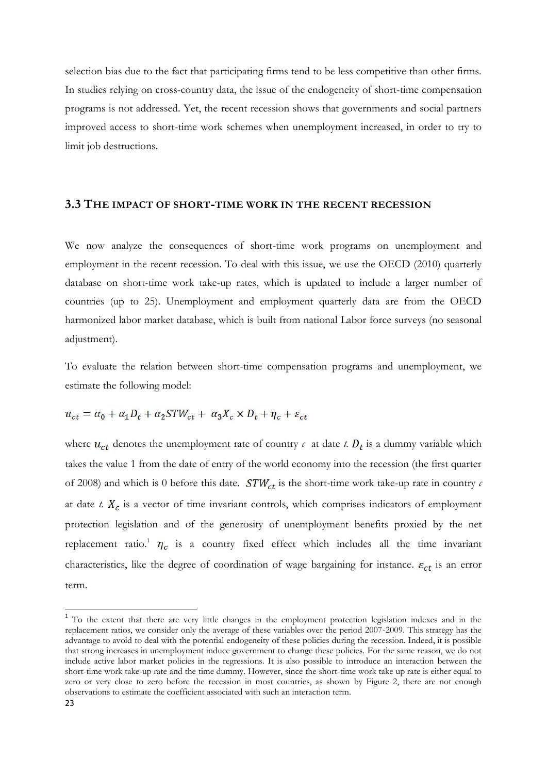selection bias due to the fact that participating firms tend to be less competitive than other firms. In studies relying on cross-country data, the issue of the endogeneity of short-time compensation programs is not addressed. Yet, the recent recession shows that governments and social partners improved access to short-time work schemes when unemployment increased, in order to try to limit job destructions.

#### **3.3 THE IMPACT OF SHORT-TIME WORK IN THE RECENT RECESSION**

We now analyze the consequences of short-time work programs on unemployment and employment in the recent recession. To deal with this issue, we use the OECD (2010) quarterly database on short-time work take-up rates, which is updated to include a larger number of countries (up to 25). Unemployment and employment quarterly data are from the OECD harmonized labor market database, which is built from national Labor force surveys (no seasonal adjustment).

To evaluate the relation between short-time compensation programs and unemployment, we estimate the following model:

$$
u_{ct} = \alpha_0 + \alpha_1 D_t + \alpha_2 STW_{ct} + \alpha_3 X_c \times D_t + \eta_c + \varepsilon_{ct}
$$

where  $u_{ct}$  denotes the unemployment rate of country  $c$  at date  $t$ .  $D_t$  is a dummy variable which takes the value 1 from the date of entry of the world economy into the recession (the first quarter of 2008) and which is 0 before this date.  $STW_{ct}$  is the short-time work take-up rate in country  $c$ at date  $t$ .  $X_c$  is a vector of time invariant controls, which comprises indicators of employment protection legislation and of the generosity of unemployment benefits proxied by the net replacement ratio.<sup>1</sup>  $\eta_c$  is a country fixed effect which includes all the time invariant characteristics, like the degree of coordination of wage bargaining for instance.  $\varepsilon_{ct}$  is an error term.

<sup>&</sup>lt;sup>1</sup> To the extent that there are very little changes in the employment protection legislation indexes and in the replacement ratios, we consider only the average of these variables over the period 2007-2009. This strategy has the advantage to avoid to deal with the potential endogeneity of these policies during the recession. Indeed, it is possible that strong increases in unemployment induce government to change these policies. For the same reason, we do not include active labor market policies in the regressions. It is also possible to introduce an interaction between the short-time work take-up rate and the time dummy. However, since the short-time work take up rate is either equal to zero or very close to zero before the recession in most countries, as shown by Figure 2, there are not enough observations to estimate the coefficient associated with such an interaction term.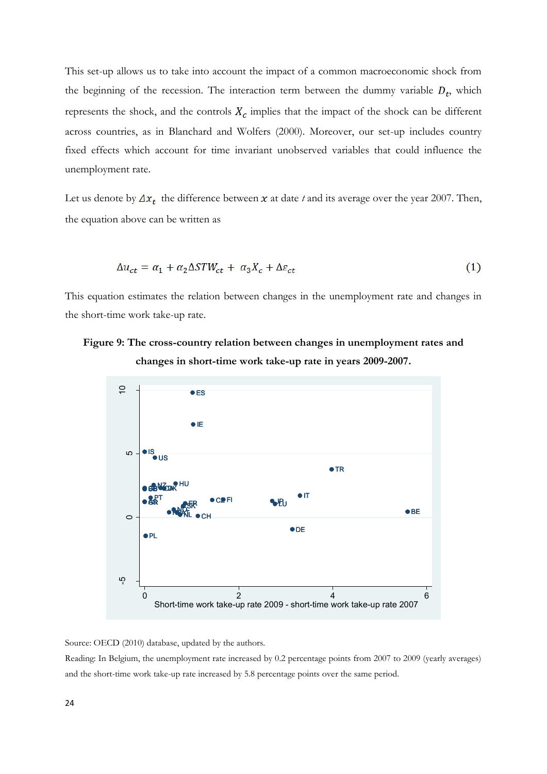This set-up allows us to take into account the impact of a common macroeconomic shock from the beginning of the recession. The interaction term between the dummy variable  $D_t$ , which represents the shock, and the controls  $X_c$  implies that the impact of the shock can be different across countries, as in Blanchard and Wolfers (2000). Moreover, our set-up includes country fixed effects which account for time invariant unobserved variables that could influence the unemployment rate.

Let us denote by  $\Delta x_t$  the difference between  $x$  at date  $t$  and its average over the year 2007. Then, the equation above can be written as

$$
\Delta u_{ct} = \alpha_1 + \alpha_2 \Delta STW_{ct} + \alpha_3 X_c + \Delta \varepsilon_{ct} \tag{1}
$$

This equation estimates the relation between changes in the unemployment rate and changes in the short-time work take-up rate.

### **Figure 9: The cross-country relation between changes in unemployment rates and changes in short-time work take-up rate in years 2009-2007.**



Source: OECD (2010) database, updated by the authors.

Reading: In Belgium, the unemployment rate increased by 0.2 percentage points from 2007 to 2009 (yearly averages) and the short-time work take-up rate increased by 5.8 percentage points over the same period.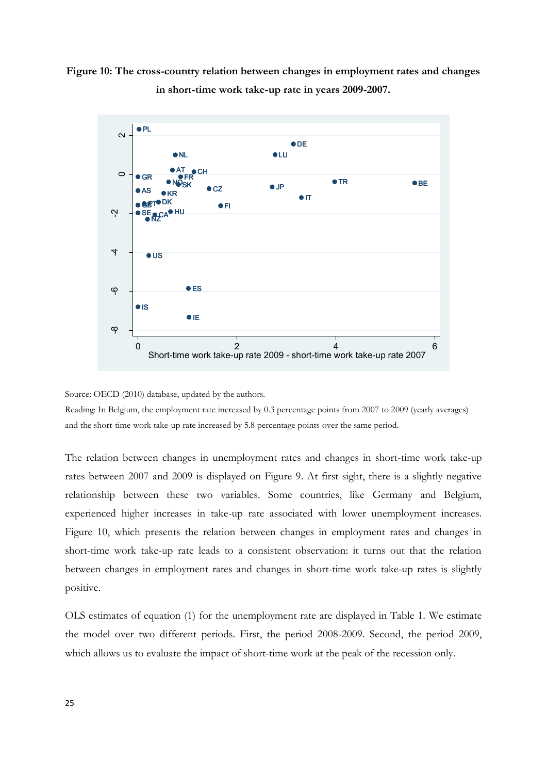



Source: OECD (2010) database, updated by the authors.

Reading: In Belgium, the employment rate increased by 0.3 percentage points from 2007 to 2009 (yearly averages) and the short-time work take-up rate increased by 5.8 percentage points over the same period.

The relation between changes in unemployment rates and changes in short-time work take-up rates between 2007 and 2009 is displayed on Figure 9. At first sight, there is a slightly negative relationship between these two variables. Some countries, like Germany and Belgium, experienced higher increases in take-up rate associated with lower unemployment increases. Figure 10, which presents the relation between changes in employment rates and changes in short-time work take-up rate leads to a consistent observation: it turns out that the relation between changes in employment rates and changes in short-time work take-up rates is slightly positive.

OLS estimates of equation (1) for the unemployment rate are displayed in Table 1. We estimate the model over two different periods. First, the period 2008-2009. Second, the period 2009, which allows us to evaluate the impact of short-time work at the peak of the recession only.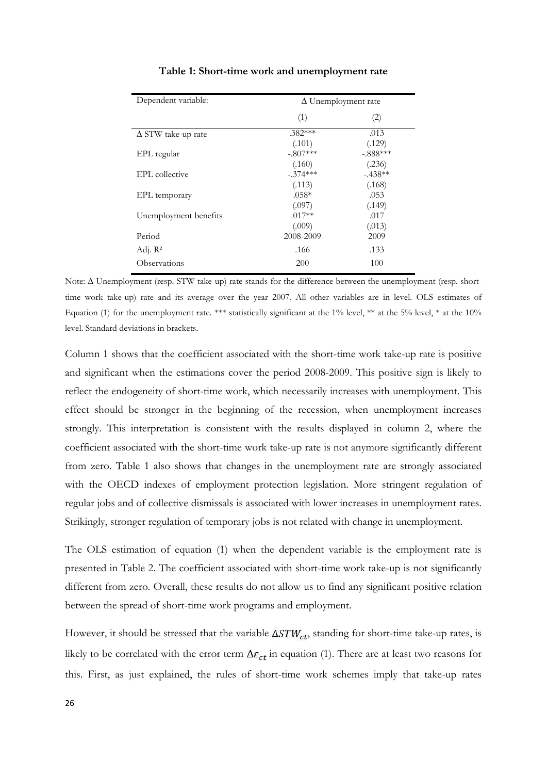| Dependent variable:       | $\Delta$ Unemployment rate |                      |  |
|---------------------------|----------------------------|----------------------|--|
|                           | (1)                        | (2)                  |  |
| $\Delta$ STW take-up rate | $.382***$                  | .013                 |  |
| EPL regular               | (.101)<br>$-.807***$       | (.129)<br>$-.888***$ |  |
| EPL collective            | (.160)<br>$-.374***$       | (.236)<br>$-438**$   |  |
|                           | (.113)                     | (.168)               |  |
| EPL temporary             | $.058*$<br>(.097)          | .053<br>(.149)       |  |
| Unemployment benefits     | $.017**$                   | .017                 |  |
| Period                    | (.009)<br>2008-2009        | (.013)<br>2009       |  |
| Adj. $R^2$                | .166                       | .133                 |  |
| <b>Observations</b>       | 200                        | 100                  |  |

#### **Table 1: Short-time work and unemployment rate**

Note:  $\Delta$  Unemployment (resp. STW take-up) rate stands for the difference between the unemployment (resp. shorttime work take-up) rate and its average over the year 2007. All other variables are in level. OLS estimates of Equation (1) for the unemployment rate. \*\*\* statistically significant at the 1% level, \*\* at the 5% level, \* at the 10% level. Standard deviations in brackets.

Column 1 shows that the coefficient associated with the short-time work take-up rate is positive and significant when the estimations cover the period 2008-2009. This positive sign is likely to reflect the endogeneity of short-time work, which necessarily increases with unemployment. This effect should be stronger in the beginning of the recession, when unemployment increases strongly. This interpretation is consistent with the results displayed in column 2, where the coefficient associated with the short-time work take-up rate is not anymore significantly different from zero. Table 1 also shows that changes in the unemployment rate are strongly associated with the OECD indexes of employment protection legislation. More stringent regulation of regular jobs and of collective dismissals is associated with lower increases in unemployment rates. Strikingly, stronger regulation of temporary jobs is not related with change in unemployment.

The OLS estimation of equation (1) when the dependent variable is the employment rate is presented in Table 2. The coefficient associated with short-time work take-up is not significantly different from zero. Overall, these results do not allow us to find any significant positive relation between the spread of short-time work programs and employment.

However, it should be stressed that the variable  $\Delta STW_{ct}$ , standing for short-time take-up rates, is likely to be correlated with the error term  $\Delta \varepsilon_{ct}$  in equation (1). There are at least two reasons for this. First, as just explained, the rules of short-time work schemes imply that take-up rates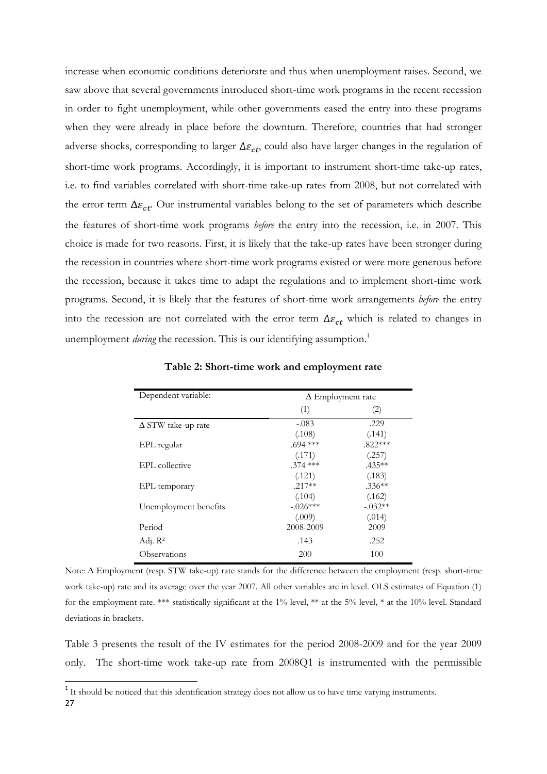increase when economic conditions deteriorate and thus when unemployment raises. Second, we saw above that several governments introduced short-time work programs in the recent recession in order to fight unemployment, while other governments eased the entry into these programs when they were already in place before the downturn. Therefore, countries that had stronger adverse shocks, corresponding to larger  $\Delta\varepsilon_{ct}$ , could also have larger changes in the regulation of short-time work programs. Accordingly, it is important to instrument short-time take-up rates, i.e. to find variables correlated with short-time take-up rates from 2008, but not correlated with the error term  $\Delta \varepsilon_{ct}$ . Our instrumental variables belong to the set of parameters which describe the features of short-time work programs *before* the entry into the recession, i.e. in 2007. This choice is made for two reasons. First, it is likely that the take-up rates have been stronger during the recession in countries where short-time work programs existed or were more generous before the recession, because it takes time to adapt the regulations and to implement short-time work programs. Second, it is likely that the features of short-time work arrangements *before* the entry into the recession are not correlated with the error term  $\Delta \varepsilon_{ct}$  which is related to changes in unemployment *during* the recession. This is our identifying assumption.<sup>1</sup>

| Dependent variable:       | $\Delta$ Employment rate |           |  |
|---------------------------|--------------------------|-----------|--|
|                           | (1)                      | (2)       |  |
| $\Delta$ STW take-up rate | $-.083$                  | .229      |  |
|                           | (.108)                   | (.141)    |  |
| EPL regular               | $.694$ ***               | $.822***$ |  |
|                           | (.171)                   | (.257)    |  |
| EPL collective            | $.374$ ***               | $.435**$  |  |
|                           | (.121)                   | (.183)    |  |
| EPL temporary             | $.217**$                 | $.336**$  |  |
|                           | (.104)                   | (.162)    |  |
| Unemployment benefits     | $-.026***$               | $-.032**$ |  |
|                           | (.009)                   | (.014)    |  |
| Period                    | 2008-2009                | 2009      |  |
| Adj. $\mathbb{R}^2$       | .143                     | .252      |  |
| Observations              | 200                      | 100       |  |

**Table 2: Short-time work and employment rate**

Note:  $\Delta$  Employment (resp. STW take-up) rate stands for the difference between the employment (resp. short-time work take-up) rate and its average over the year 2007. All other variables are in level. OLS estimates of Equation (1) for the employment rate. \*\*\* statistically significant at the 1% level, \*\* at the 5% level, \* at the 10% level. Standard deviations in brackets.

Table 3 presents the result of the IV estimates for the period 2008-2009 and for the year 2009 only. The short-time work take-up rate from 2008Q1 is instrumented with the permissible

<sup>27</sup> <sup>1</sup> It should be noticed that this identification strategy does not allow us to have time varying instruments.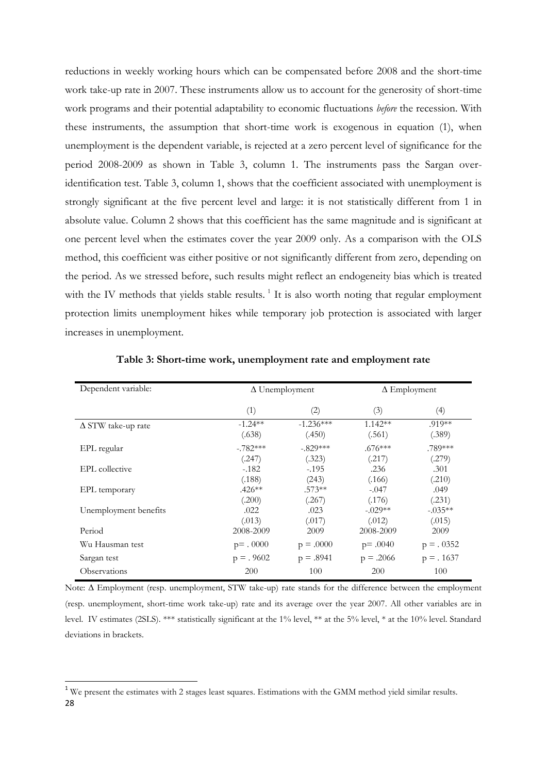reductions in weekly working hours which can be compensated before 2008 and the short-time work take-up rate in 2007. These instruments allow us to account for the generosity of short-time work programs and their potential adaptability to economic fluctuations *before* the recession. With these instruments, the assumption that short-time work is exogenous in equation (1), when unemployment is the dependent variable, is rejected at a zero percent level of significance for the period 2008-2009 as shown in Table 3, column 1. The instruments pass the Sargan overidentification test. Table 3, column 1, shows that the coefficient associated with unemployment is strongly significant at the five percent level and large: it is not statistically different from 1 in absolute value. Column 2 shows that this coefficient has the same magnitude and is significant at one percent level when the estimates cover the year 2009 only. As a comparison with the OLS method, this coefficient was either positive or not significantly different from zero, depending on the period. As we stressed before, such results might reflect an endogeneity bias which is treated with the IV methods that yields stable results.<sup>1</sup> It is also worth noting that regular employment protection limits unemployment hikes while temporary job protection is associated with larger increases in unemployment.

| Dependent variable:       | $\Delta$ Unemployment |                       | $\Delta$ Employment |                     |
|---------------------------|-----------------------|-----------------------|---------------------|---------------------|
|                           | (1)                   | $\left( 2\right)$     | (3)                 | $\left(4\right)$    |
| $\Delta$ STW take-up rate | $-1.24**$<br>(.638)   | $-1.236***$<br>(.450) | $1.142**$<br>(.561) | .919**<br>(.389)    |
| EPL regular               | $-.782***$<br>(.247)  | $-.829***$<br>(.323)  | $.676***$<br>(.217) | .789***<br>(.279)   |
| EPL collective            | $-182$<br>(.188)      | $-0.195$<br>(243)     | .236<br>(.166)      | .301<br>(.210)      |
| EPL temporary             | $.426**$<br>(.200)    | $.573**$<br>(.267)    | $-.047$<br>(.176)   | .049<br>(.231)      |
| Unemployment benefits     | .022<br>(.013)        | .023<br>(.017)        | $-.029**$<br>(.012) | $-.035**$<br>(.015) |
| Period                    | 2008-2009             | 2009                  | 2008-2009           | 2009                |
| Wu Hausman test           | $p = .0000$           | $p = .0000$           | $p = .0040$         | $p = .0352$         |
| Sargan test               | $p = .9602$           | $p = .8941$           | $p = .2066$         | $p = .1637$         |
| Observations              | 200                   | 100                   | 200                 | 100                 |

**Table 3: Short-time work, unemployment rate and employment rate**

Note:  $\Delta$  Employment (resp. unemployment, STW take-up) rate stands for the difference between the employment (resp. unemployment, short-time work take-up) rate and its average over the year 2007. All other variables are in level. IV estimates (2SLS). \*\*\* statistically significant at the 1% level, \*\* at the 5% level, \* at the 10% level. Standard deviations in brackets.

<sup>28</sup> <sup>1</sup> We present the estimates with 2 stages least squares. Estimations with the GMM method yield similar results.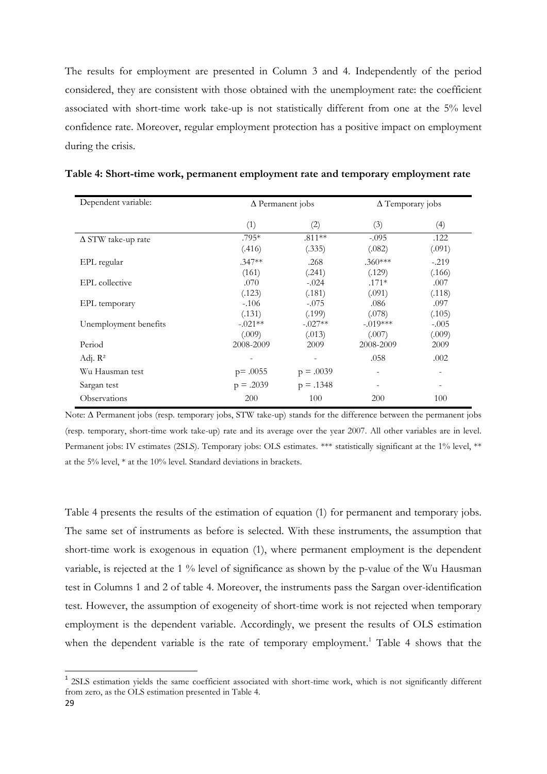The results for employment are presented in Column 3 and 4. Independently of the period considered, they are consistent with those obtained with the unemployment rate: the coefficient associated with short-time work take-up is not statistically different from one at the 5% level confidence rate. Moreover, regular employment protection has a positive impact on employment during the crisis.

| Dependent variable:       |                     | $\Delta$ Permanent jobs |                      | $\Delta$ Temporary jobs  |  |
|---------------------------|---------------------|-------------------------|----------------------|--------------------------|--|
|                           | (1)                 | (2)                     | (3)                  | (4)                      |  |
| $\Delta$ STW take-up rate | $.795*$<br>(.416)   | $.811**$<br>(.335)      | $-.095$<br>(.082)    | .122<br>(.091)           |  |
| EPL regular               | $.347**$<br>(161)   | .268<br>(.241)          | $.360***$<br>(.129)  | $-.219$<br>(.166)        |  |
| EPL collective            | .070<br>(.123)      | $-.024$<br>(.181)       | $.171*$<br>(.091)    | .007<br>(.118)           |  |
| EPL temporary             | $-106$<br>(.131)    | $-.075$<br>(.199)       | .086<br>(.078)       | .097<br>(.105)           |  |
| Unemployment benefits     | $-.021**$<br>(.009) | $-.027**$<br>(.013)     | $-.019***$<br>(.007) | $-.005$                  |  |
| Period                    | 2008-2009           | 2009                    | 2008-2009            | (.009)<br>2009           |  |
| Adj. $\mathbb{R}^2$       | -                   |                         | .058                 | .002                     |  |
| Wu Hausman test           | $p = .0055$         | $p = .0039$             |                      |                          |  |
| Sargan test               | $p = .2039$         | $p = .1348$             | $\overline{a}$       | $\overline{\phantom{a}}$ |  |
| Observations              | 200                 | 100                     | 200                  | 100                      |  |

**Table 4: Short-time work, permanent employment rate and temporary employment rate**

Note:  $\Delta$  Permanent jobs (resp. temporary jobs, STW take-up) stands for the difference between the permanent jobs (resp. temporary, short-time work take-up) rate and its average over the year 2007. All other variables are in level. Permanent jobs: IV estimates (2SLS). Temporary jobs: OLS estimates. \*\*\* statistically significant at the 1% level, \*\* at the 5% level, \* at the 10% level. Standard deviations in brackets.

Table 4 presents the results of the estimation of equation (1) for permanent and temporary jobs. The same set of instruments as before is selected. With these instruments, the assumption that short-time work is exogenous in equation (1), where permanent employment is the dependent variable, is rejected at the 1 % level of significance as shown by the p-value of the Wu Hausman test in Columns 1 and 2 of table 4. Moreover, the instruments pass the Sargan over-identification test. However, the assumption of exogeneity of short-time work is not rejected when temporary employment is the dependent variable. Accordingly, we present the results of OLS estimation when the dependent variable is the rate of temporary employment.<sup>1</sup> Table 4 shows that the

<sup>&</sup>lt;sup>1</sup> 2SLS estimation yields the same coefficient associated with short-time work, which is not significantly different from zero, as the OLS estimation presented in Table 4.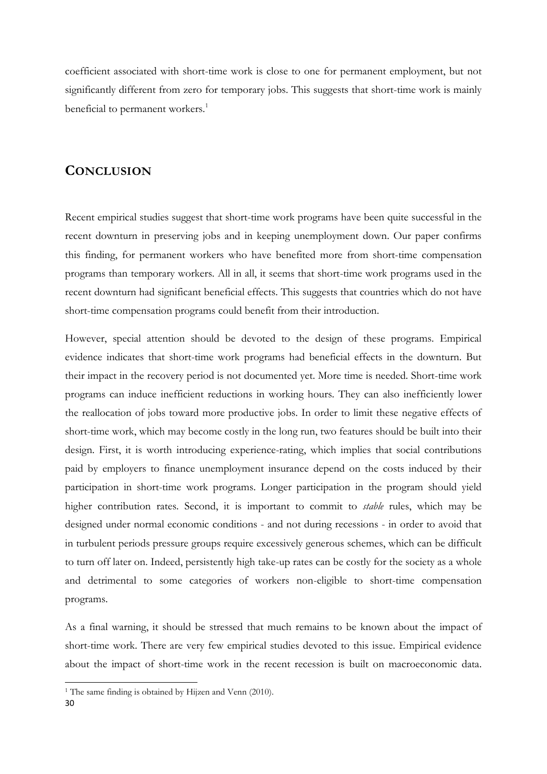coefficient associated with short-time work is close to one for permanent employment, but not significantly different from zero for temporary jobs. This suggests that short-time work is mainly beneficial to permanent workers.<sup>1</sup>

#### **CONCLUSION**

Recent empirical studies suggest that short-time work programs have been quite successful in the recent downturn in preserving jobs and in keeping unemployment down. Our paper confirms this finding, for permanent workers who have benefited more from short-time compensation programs than temporary workers. All in all, it seems that short-time work programs used in the recent downturn had significant beneficial effects. This suggests that countries which do not have short-time compensation programs could benefit from their introduction.

However, special attention should be devoted to the design of these programs. Empirical evidence indicates that short-time work programs had beneficial effects in the downturn. But their impact in the recovery period is not documented yet. More time is needed. Short-time work programs can induce inefficient reductions in working hours. They can also inefficiently lower the reallocation of jobs toward more productive jobs. In order to limit these negative effects of short-time work, which may become costly in the long run, two features should be built into their design. First, it is worth introducing experience-rating, which implies that social contributions paid by employers to finance unemployment insurance depend on the costs induced by their participation in short-time work programs. Longer participation in the program should yield higher contribution rates. Second, it is important to commit to *stable* rules, which may be designed under normal economic conditions - and not during recessions - in order to avoid that in turbulent periods pressure groups require excessively generous schemes, which can be difficult to turn off later on. Indeed, persistently high take-up rates can be costly for the society as a whole and detrimental to some categories of workers non-eligible to short-time compensation programs.

As a final warning, it should be stressed that much remains to be known about the impact of short-time work. There are very few empirical studies devoted to this issue. Empirical evidence about the impact of short-time work in the recent recession is built on macroeconomic data.

<sup>&</sup>lt;sup>1</sup> The same finding is obtained by Hijzen and Venn (2010).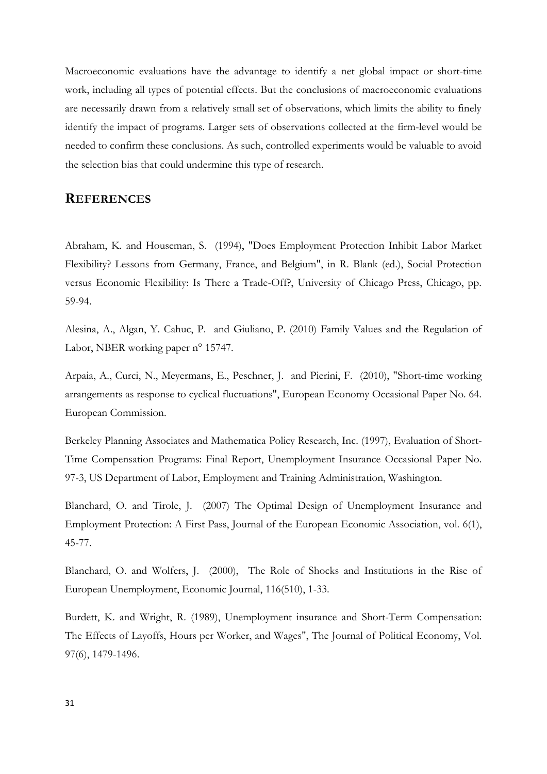Macroeconomic evaluations have the advantage to identify a net global impact or short-time work, including all types of potential effects. But the conclusions of macroeconomic evaluations are necessarily drawn from a relatively small set of observations, which limits the ability to finely identify the impact of programs. Larger sets of observations collected at the firm-level would be needed to confirm these conclusions. As such, controlled experiments would be valuable to avoid the selection bias that could undermine this type of research.

### **REFERENCES**

Abraham, K. and Houseman, S. (1994), "Does Employment Protection Inhibit Labor Market Flexibility? Lessons from Germany, France, and Belgium", in R. Blank (ed.), Social Protection versus Economic Flexibility: Is There a Trade-Off?, University of Chicago Press, Chicago, pp. 59-94.

Alesina, A., Algan, Y. Cahuc, P. and Giuliano, P. (2010) Family Values and the Regulation of Labor, NBER working paper n° 15747.

Arpaia, A., Curci, N., Meyermans, E., Peschner, J. and Pierini, F. (2010), "Short-time working arrangements as response to cyclical fluctuations", European Economy Occasional Paper No. 64. European Commission.

Berkeley Planning Associates and Mathematica Policy Research, Inc. (1997), Evaluation of Short-Time Compensation Programs: Final Report, Unemployment Insurance Occasional Paper No. 97-3, US Department of Labor, Employment and Training Administration, Washington.

Blanchard, O. and Tirole, J. (2007) The Optimal Design of Unemployment Insurance and Employment Protection: A First Pass, Journal of the European Economic Association, vol. 6(1), 45-77.

Blanchard, O. and Wolfers, J. (2000), The Role of Shocks and Institutions in the Rise of European Unemployment, Economic Journal, 116(510), 1-33.

Burdett, K. and Wright, R. (1989), Unemployment insurance and Short-Term Compensation: The Effects of Layoffs, Hours per Worker, and Wages", The Journal of Political Economy, Vol. 97(6), 1479-1496.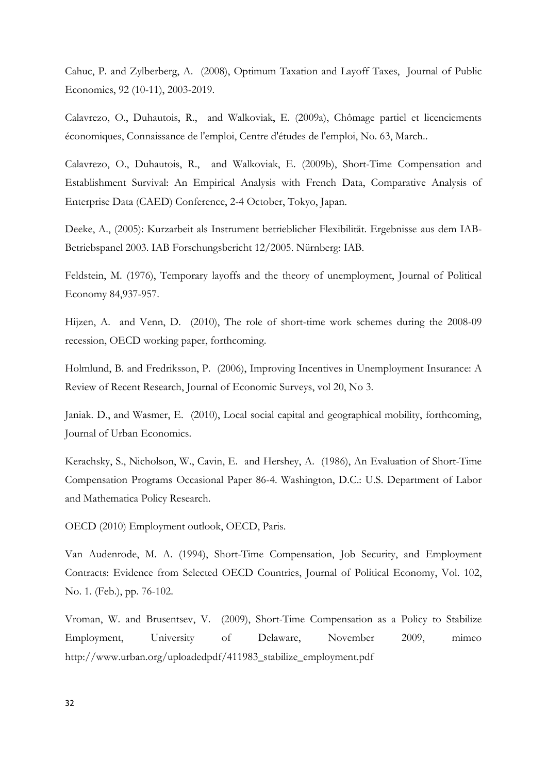Cahuc, P. and Zylberberg, A. (2008), Optimum Taxation and Layoff Taxes, Journal of Public Economics, 92 (10-11), 2003-2019.

Calavrezo, O., Duhautois, R., and Walkoviak, E. (2009a), Chômage partiel et licenciements économiques, Connaissance de l'emploi, Centre d'études de l'emploi, No. 63, March..

Calavrezo, O., Duhautois, R., and Walkoviak, E. (2009b), Short-Time Compensation and Establishment Survival: An Empirical Analysis with French Data, Comparative Analysis of Enterprise Data (CAED) Conference, 2-4 October, Tokyo, Japan.

Deeke, A., (2005): Kurzarbeit als Instrument betrieblicher Flexibilität. Ergebnisse aus dem IAB-Betriebspanel 2003. IAB Forschungsbericht 12/2005. Nürnberg: IAB.

Feldstein, M. (1976), Temporary layoffs and the theory of unemployment, Journal of Political Economy 84,937-957.

Hijzen, A. and Venn, D. (2010), The role of short-time work schemes during the 2008-09 recession, OECD working paper, forthcoming.

Holmlund, B. and Fredriksson, P. (2006), Improving Incentives in Unemployment Insurance: A Review of Recent Research, Journal of Economic Surveys, vol 20, No 3.

Janiak. D., and Wasmer, E. (2010), Local social capital and geographical mobility, forthcoming, Journal of Urban Economics.

Kerachsky, S., Nicholson, W., Cavin, E. and Hershey, A. (1986), An Evaluation of Short-Time Compensation Programs Occasional Paper 86-4. Washington, D.C.: U.S. Department of Labor and Mathematica Policy Research.

OECD (2010) Employment outlook, OECD, Paris.

Van Audenrode, M. A. (1994), Short-Time Compensation, Job Security, and Employment Contracts: Evidence from Selected OECD Countries, Journal of Political Economy, Vol. 102, No. 1. (Feb.), pp. 76-102.

Vroman, W. and Brusentsev, V. (2009), Short-Time Compensation as a Policy to Stabilize Employment, University of Delaware, November 2009, mimeo http://www.urban.org/uploadedpdf/411983\_stabilize\_employment.pdf